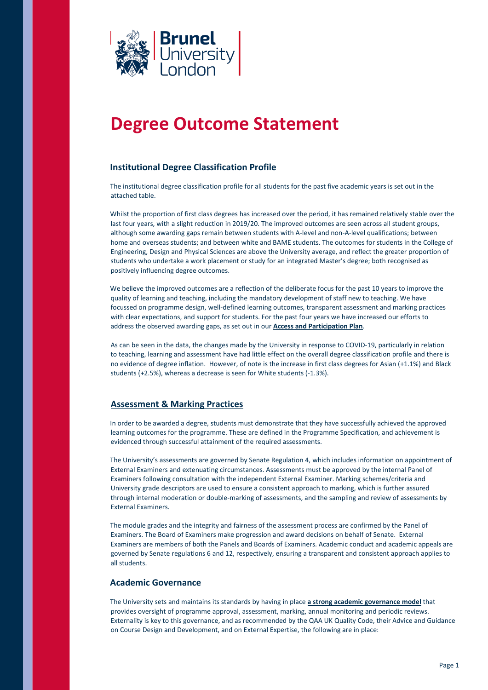

# **Degree Outcome Statement**

## **Institutional Degree Classification Profile**

The institutional degree classification profile for all students for the past five academic years is set out in the attached table.

Whilst the proportion of first class degrees has increased over the period, it has remained relatively stable over the last four years, with a slight reduction in 2019/20. The improved outcomes are seen across all student groups, although some awarding gaps remain between students with A-level and non-A-level qualifications; between home and overseas students; and between white and BAME students. The outcomes for students in the College of Engineering, Design and Physical Sciences are above the University average, and reflect the greater proportion of students who undertake a work placement or study for an integrated Master's degree; both recognised as positively influencing degree outcomes.

We believe the improved outcomes are a reflection of the deliberate focus for the past 10 years to improve the quality of learning and teaching, including the mandatory development of staff new to teaching. We have focussed on programme design, well-defined learning outcomes, transparent assessment and marking practices with clear expectations, and support for students. For the past four years we have increased our efforts to address the observed awarding gaps, as set out in our **[Access and Participation Plan](https://www.brunel.ac.uk/about/administration/access-and-participation/documents/pdf/BrunelUniversityLondon-APP-2020-21-V1-10000961.pdf)**.

As can be seen in the data, the changes made by the University in response to COVID-19, particularly in relation to teaching, learning and assessment have had little effect on the overall degree classification profile and there is no evidence of degree inflation. However, of note is the increase in first class degrees for Asian (+1.1%) and Black students (+2.5%), whereas a decrease is seen for White students (-1.3%).

### **[Assessment & Marking Practices](https://www.brunel.ac.uk/about/quality-assurance/documents/pdf/How-do-we-assure-standards.pdf)**

In order to be awarded a degree, students must demonstrate that they have successfully achieved the approved learning outcomes for the programme. These are defined in the Programme Specification, and achievement is evidenced through successful attainment of the required assessments.

The University's assessments are governed by Senate Regulation 4, which includes information on appointment of External Examiners and extenuating circumstances. Assessments must be approved by the internal Panel of Examiners following consultation with the independent External Examiner. Marking schemes/criteria and University grade descriptors are used to ensure a consistent approach to marking, which is further assured through internal moderation or double-marking of assessments, and the sampling and review of assessments by External Examiners.

The module grades and the integrity and fairness of the assessment process are confirmed by the Panel of Examiners. The Board of Examiners make progression and award decisions on behalf of Senate. External Examiners are members of both the Panels and Boards of Examiners. Academic conduct and academic appeals are governed by Senate regulations 6 and 12, respectively, ensuring a transparent and consistent approach applies to all students.

### **Academic Governance**

The University sets and maintains its standards by having in place **[a strong academic governance model](https://www.brunel.ac.uk/about/quality-assurance/documents/pdf/How-do-we-assure-standards.pdf)** [t](https://www.brunel.ac.uk/about/quality-assurance/documents/pdf/How-do-we-assure-standards.pdf)hat provides oversight of programme approval, assessment, marking, annual monitoring and periodic reviews. Externality is key to this governance, and as recommended by the QAA UK Quality Code, their Advice and Guidance on Course Design and Development, and on External Expertise, the following are in place: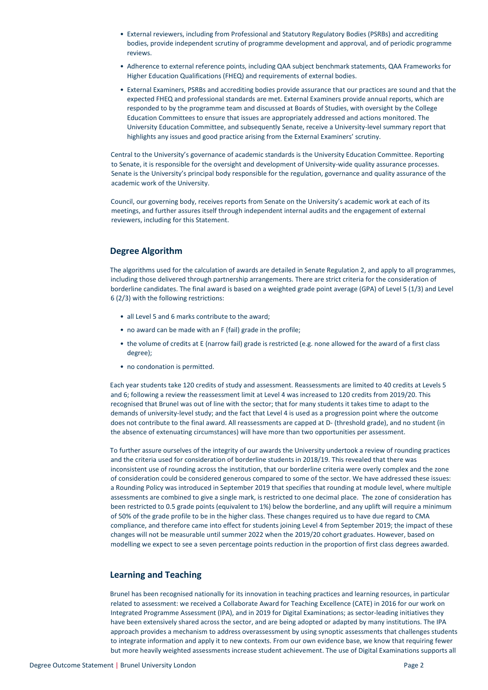- External reviewers, including from Professional and Statutory Regulatory Bodies (PSRBs) and accrediting bodies, provide independent scrutiny of programme development and approval, and of periodic programme reviews.
- Adherence to external reference points, including QAA subject benchmark statements, QAA Frameworks for Higher Education Qualifications (FHEQ) and requirements of external bodies.
- External Examiners, PSRBs and accrediting bodies provide assurance that our practices are sound and that the expected FHEQ and professional standards are met. External Examiners provide annual reports, which are responded to by the programme team and discussed at Boards of Studies, with oversight by the College Education Committees to ensure that issues are appropriately addressed and actions monitored. The University Education Committee, and subsequently Senate, receive a University-level summary report that highlights any issues and good practice arising from the External Examiners' scrutiny.

Central to the University's governance of academic standards is the University Education Committee. Reporting to Senate, it is responsible for the oversight and development of University-wide quality assurance processes. Senate is the University's principal body responsible for the regulation, governance and quality assurance of the academic work of the University.

Council, our governing body, receives reports from Senate on the University's academic work at each of its meetings, and further assures itself through independent internal audits and the engagement of external reviewers, including for this Statement.

### **Degree Algorithm**

The algorithms used for the calculation of awards are detailed in Senate Regulation 2, and apply to all programmes, including those delivered through partnership arrangements. There are strict criteria for the consideration of borderline candidates. The final award is based on a weighted grade point average (GPA) of Level 5 (1/3) and Level 6 (2/3) with the following restrictions:

- all Level 5 and 6 marks contribute to the award;
- no award can be made with an F (fail) grade in the profile;
- the volume of credits at E (narrow fail) grade is restricted (e.g. none allowed for the award of a first class degree);
- no condonation is permitted.

Each year students take 120 credits of study and assessment. Reassessments are limited to 40 credits at Levels 5 and 6; following a review the reassessment limit at Level 4 was increased to 120 credits from 2019/20. This recognised that Brunel was out of line with the sector; that for many students it takes time to adapt to the demands of university-level study; and the fact that Level 4 is used as a progression point where the outcome does not contribute to the final award. All reassessments are capped at D- (threshold grade), and no student (in the absence of extenuating circumstances) will have more than two opportunities per assessment.

To further assure ourselves of the integrity of our awards the University undertook a review of rounding practices and the criteria used for consideration of borderline students in 2018/19. This revealed that there was inconsistent use of rounding across the institution, that our borderline criteria were overly complex and the zone of consideration could be considered generous compared to some of the sector. We have addressed these issues: a Rounding Policy was introduced in September 2019 that specifies that rounding at module level, where multiple assessments are combined to give a single mark, is restricted to one decimal place. The zone of consideration has been restricted to 0.5 grade points (equivalent to 1%) below the borderline, and any uplift will require a minimum of 50% of the grade profile to be in the higher class. These changes required us to have due regard to CMA compliance, and therefore came into effect for students joining Level 4 from September 2019; the impact of these changes will not be measurable until summer 2022 when the 2019/20 cohort graduates. However, based on modelling we expect to see a seven percentage points reduction in the proportion of first class degrees awarded.

### **Learning and Teaching**

Brunel has been recognised nationally for its innovation in teaching practices and learning resources, in particular related to assessment: we received a Collaborate Award for Teaching Excellence (CATE) in 2016 for our work on Integrated Programme Assessment (IPA), and in 2019 for Digital Examinations; as sector-leading initiatives they have been extensively shared across the sector, and are being adopted or adapted by many institutions. The IPA approach provides a mechanism to address overassessment by using synoptic assessments that challenges students to integrate information and apply it to new contexts. From our own evidence base, we know that requiring fewer but more heavily weighted assessments increase student achievement. The use of Digital Examinations supports all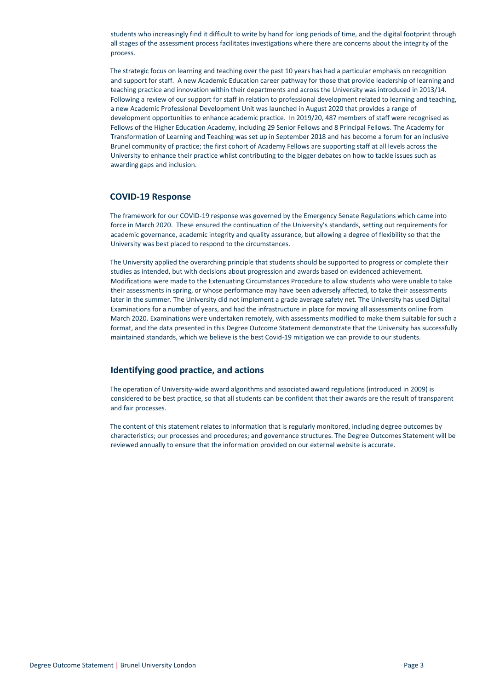students who increasingly find it difficult to write by hand for long periods of time, and the digital footprint through all stages of the assessment process facilitates investigations where there are concerns about the integrity of the process.

The strategic focus on learning and teaching over the past 10 years has had a particular emphasis on recognition and support for staff. A new Academic Education career pathway for those that provide leadership of learning and teaching practice and innovation within their departments and across the University was introduced in 2013/14. Following a review of our support for staff in relation to professional development related to learning and teaching, a new Academic Professional Development Unit was launched in August 2020 that provides a range of development opportunities to enhance academic practice. In 2019/20, 487 members of staff were recognised as Fellows of the Higher Education Academy, including 29 Senior Fellows and 8 Principal Fellows. The Academy for Transformation of Learning and Teaching was set up in September 2018 and has become a forum for an inclusive Brunel community of practice; the first cohort of Academy Fellows are supporting staff at all levels across the University to enhance their practice whilst contributing to the bigger debates on how to tackle issues such as awarding gaps and inclusion.

#### **COVID-19 Response**

The framework for our COVID-19 response was governed by the Emergency Senate Regulations which came into force in March 2020. These ensured the continuation of the University's standards, setting out requirements for academic governance, academic integrity and quality assurance, but allowing a degree of flexibility so that the University was best placed to respond to the circumstances.

The University applied the overarching principle that students should be supported to progress or complete their studies as intended, but with decisions about progression and awards based on evidenced achievement. Modifications were made to the Extenuating Circumstances Procedure to allow students who were unable to take their assessments in spring, or whose performance may have been adversely affected, to take their assessments later in the summer. The University did not implement a grade average safety net. The University has used Digital Examinations for a number of years, and had the infrastructure in place for moving all assessments online from March 2020. Examinations were undertaken remotely, with assessments modified to make them suitable for such a format, and the data presented in this Degree Outcome Statement demonstrate that the University has successfully maintained standards, which we believe is the best Covid-19 mitigation we can provide to our students.

#### **Identifying good practice, and actions**

The operation of University-wide award algorithms and associated award regulations (introduced in 2009) is considered to be best practice, so that all students can be confident that their awards are the result of transparent and fair processes.

The content of this statement relates to information that is regularly monitored, including degree outcomes by characteristics; our processes and procedures; and governance structures. The Degree Outcomes Statement will be reviewed annually to ensure that the information provided on our external website is accurate.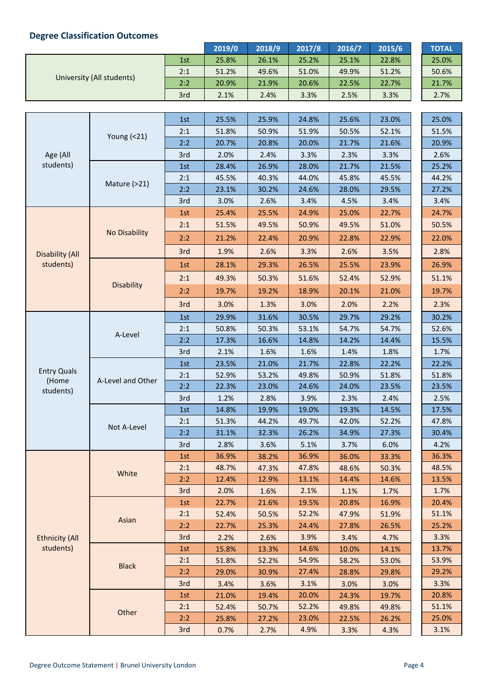# **Degree Classification Outcomes**

|                           |     | 2019/0 | 2018/9 | 2017/8 | 2016/7 | 2015/6 | <b>TOTAL</b> |
|---------------------------|-----|--------|--------|--------|--------|--------|--------------|
| University (All students) | 1st | 25.8%  | 26.1%  | 25.2%  | 25.1%  | 22.8%  | 25.0%        |
|                           | 2:1 | 51.2%  | 49.6%  | 51.0%  | 49.9%  | 51.2%  | 50.6%        |
|                           | 2:2 | 20.9%  | 21.9%  | 20.6%  | 22.5%  | 22.7%  | 21.7%        |
|                           | 3rd | 2.1%   | 2.4%   | 3.3%   | 2.5%   | 3.3%   | 2.7%         |

| Age (All<br>students)                    | Young $(21)$      | 1st | 25.5% | 25.9% | 24.8% | 25.6% | 23.0% | 25.0% |
|------------------------------------------|-------------------|-----|-------|-------|-------|-------|-------|-------|
|                                          |                   | 2:1 | 51.8% | 50.9% | 51.9% | 50.5% | 52.1% | 51.5% |
|                                          |                   | 2:2 | 20.7% | 20.8% | 20.0% | 21.7% | 21.6% | 20.9% |
|                                          |                   | 3rd | 2.0%  | 2.4%  | 3.3%  | 2.3%  | 3.3%  | 2.6%  |
|                                          | Mature (>21)      | 1st | 28.4% | 26.9% | 28.0% | 21.7% | 21.5% | 25.2% |
|                                          |                   | 2:1 | 45.5% | 40.3% | 44.0% | 45.8% | 45.5% | 44.2% |
|                                          |                   | 2:2 | 23.1% | 30.2% | 24.6% | 28.0% | 29.5% | 27.2% |
|                                          |                   | 3rd | 3.0%  | 2.6%  | 3.4%  | 4.5%  | 3.4%  | 3.4%  |
|                                          | No Disability     | 1st | 25.4% | 25.5% | 24.9% | 25.0% | 22.7% | 24.7% |
|                                          |                   | 2:1 | 51.5% | 49.5% | 50.9% | 49.5% | 51.0% | 50.5% |
|                                          |                   | 2:2 | 21.2% | 22.4% | 20.9% | 22.8% | 22.9% | 22.0% |
| <b>Disability (All</b>                   |                   | 3rd | 1.9%  | 2.6%  | 3.3%  | 2.6%  | 3.5%  | 2.8%  |
| students)                                |                   | 1st | 28.1% | 29.3% | 26.5% | 25.5% | 23.9% | 26.9% |
|                                          |                   | 2:1 | 49.3% | 50.3% | 51.6% | 52.4% | 52.9% | 51.1% |
|                                          | <b>Disability</b> | 2:2 | 19.7% | 19.2% | 18.9% | 20.1% | 21.0% | 19.7% |
|                                          |                   | 3rd | 3.0%  | 1.3%  | 3.0%  | 2.0%  | 2.2%  | 2.3%  |
|                                          | A-Level           | 1st | 29.9% | 31.6% | 30.5% | 29.7% | 29.2% | 30.2% |
| <b>Entry Quals</b><br>(Home<br>students) |                   | 2:1 | 50.8% | 50.3% | 53.1% | 54.7% | 54.7% | 52.6% |
|                                          |                   | 2:2 | 17.3% | 16.6% | 14.8% | 14.2% | 14.4% | 15.5% |
|                                          |                   | 3rd | 2.1%  | 1.6%  | 1.6%  | 1.4%  | 1.8%  | 1.7%  |
|                                          | A-Level and Other | 1st | 23.5% | 21.0% | 21.7% | 22.8% | 22.2% | 22.2% |
|                                          |                   | 2:1 | 52.9% | 53.2% | 49.8% | 50.9% | 51.8% | 51.8% |
|                                          |                   | 2:2 | 22.3% | 23.0% | 24.6% | 24.0% | 23.5% | 23.5% |
|                                          |                   | 3rd | 1.2%  | 2.8%  | 3.9%  | 2.3%  | 2.4%  | 2.5%  |
|                                          | Not A-Level       | 1st | 14.8% | 19.9% | 19.0% | 19.3% | 14.5% | 17.5% |
|                                          |                   | 2:1 | 51.3% | 44.2% | 49.7% | 42.0% | 52.2% | 47.8% |
|                                          |                   | 2:2 | 31.1% | 32.3% | 26.2% | 34.9% | 27.3% | 30.4% |
|                                          |                   | 3rd | 2.8%  | 3.6%  | 5.1%  | 3.7%  | 6.0%  | 4.2%  |
|                                          | White             | 1st | 36.9% | 38.2% | 36.9% | 36.0% | 33.3% | 36.3% |
|                                          |                   | 2:1 | 48.7% | 47.3% | 47.8% | 48.6% | 50.3% | 48.5% |
| <b>Ethnicity (All</b>                    |                   | 2:2 | 12.4% | 12.9% | 13.1% | 14.4% | 14.6% | 13.5% |
|                                          |                   | 3rd | 2.0%  | 1.6%  | 2.1%  | 1.1%  | 1.7%  | 1.7%  |
|                                          | Asian             | 1st | 22.7% | 21.6% | 19.5% | 20.8% | 16.9% | 20.4% |
|                                          |                   | 2:1 | 52.4% | 50.5% | 52.2% | 47.9% | 51.9% | 51.1% |
|                                          |                   | 2:2 | 22.7% | 25.3% | 24.4% | 27.8% | 26.5% | 25.2% |
|                                          |                   | 3rd | 2.2%  | 2.6%  | 3.9%  | 3.4%  | 4.7%  | 3.3%  |
| students)                                | <b>Black</b>      | 1st | 15.8% | 13.3% | 14.6% | 10.0% | 14.1% | 13.7% |
|                                          |                   | 2:1 | 51.8% | 52.2% | 54.9% | 58.2% | 53.0% | 53.9% |
|                                          |                   | 2:2 | 29.0% | 30.9% | 27.4% | 28.8% | 29.8% | 29.2% |
|                                          |                   | 3rd | 3.4%  | 3.6%  | 3.1%  | 3.0%  | 3.0%  | 3.3%  |
|                                          | Other             | 1st | 21.0% | 19.4% | 20.0% | 24.3% | 19.7% | 20.8% |
|                                          |                   | 2:1 | 52.4% | 50.7% | 52.2% | 49.8% | 49.8% | 51.1% |
|                                          |                   | 2:2 | 25.8% | 27.2% | 23.0% | 22.5% | 26.2% | 25.0% |
|                                          |                   | 3rd | 0.7%  | 2.7%  | 4.9%  | 3.3%  | 4.3%  | 3.1%  |